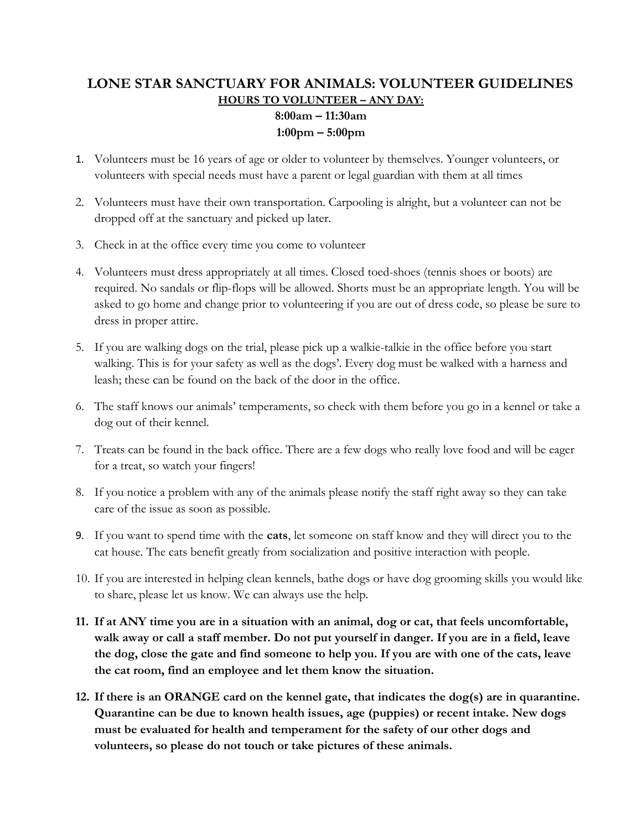## **LONE STAR SANCTUARY FOR ANIMALS: VOLUNTEER GUIDELINES HOURS TO VOLUNTEER – ANY DAY:**

#### **8:00am – 11:30am 1:00pm – 5:00pm**

- 1. Volunteers must be 16 years of age or older to volunteer by themselves. Younger volunteers, or volunteers with special needs must have a parent or legal guardian with them at all times
- 2. Volunteers must have their own transportation. Carpooling is alright, but a volunteer can not be dropped off at the sanctuary and picked up later.
- 3. Check in at the office every time you come to volunteer
- 4. Volunteers must dress appropriately at all times. Closed toed-shoes (tennis shoes or boots) are required. No sandals or flip-flops will be allowed. Shorts must be an appropriate length. You will be asked to go home and change prior to volunteering if you are out of dress code, so please be sure to dress in proper attire.
- 5. If you are walking dogs on the trial, please pick up a walkie-talkie in the office before you start walking. This is for your safety as well as the dogs'. Every dog must be walked with a harness and leash; these can be found on the back of the door in the office.
- 6. The staff knows our animals' temperaments, so check with them before you go in a kennel or take a dog out of their kennel.
- 7. Treats can be found in the back office. There are a few dogs who really love food and will be eager for a treat, so watch your fingers!
- 8. If you notice a problem with any of the animals please notify the staff right away so they can take care of the issue as soon as possible.
- 9. If you want to spend time with the **cats**, let someone on staff know and they will direct you to the cat house. The cats benefit greatly from socialization and positive interaction with people.
- 10. If you are interested in helping clean kennels, bathe dogs or have dog grooming skills you would like to share, please let us know. We can always use the help.
- **11. If at ANY time you are in a situation with an animal, dog or cat, that feels uncomfortable, walk away or call a staff member. Do not put yourself in danger. If you are in a field, leave the dog, close the gate and find someone to help you. If you are with one of the cats, leave the cat room, find an employee and let them know the situation.**
- **12. If there is an ORANGE card on the kennel gate, that indicates the dog(s) are in quarantine. Quarantine can be due to known health issues, age (puppies) or recent intake. New dogs must be evaluated for health and temperament for the safety of our other dogs and volunteers, so please do not touch or take pictures of these animals.**